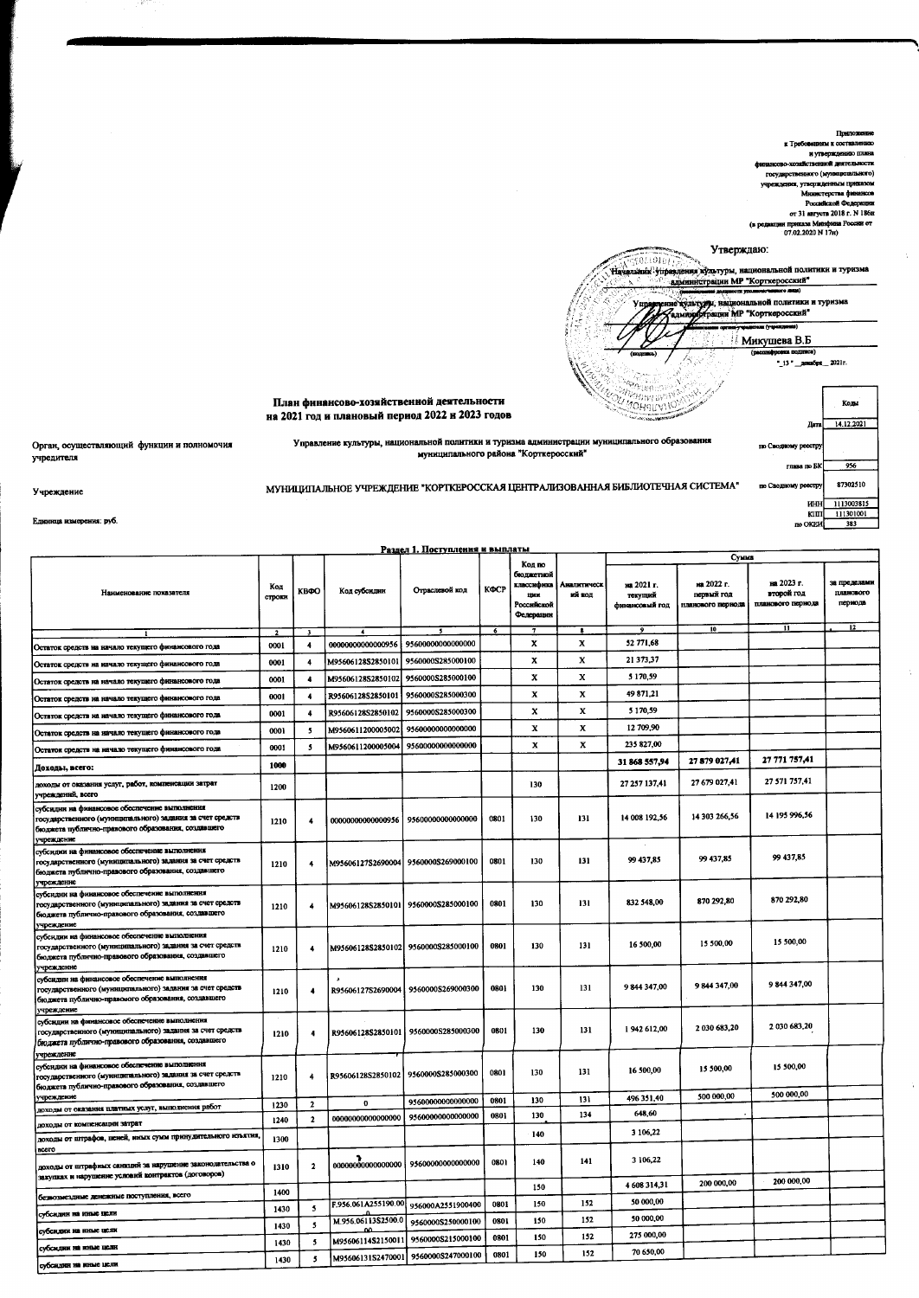

|                                                                                                                                                                                |                          |                          |                     |                                       |            | Код по                                                   |                       |                                         | Сумма                                         |                                               |                                            |
|--------------------------------------------------------------------------------------------------------------------------------------------------------------------------------|--------------------------|--------------------------|---------------------|---------------------------------------|------------|----------------------------------------------------------|-----------------------|-----------------------------------------|-----------------------------------------------|-----------------------------------------------|--------------------------------------------|
| Наименование показателя                                                                                                                                                        | Код<br>строки            | KBOO                     | Код субсидии        | Отраслевой код                        | КФСР       | бюджетной<br>классифика<br>mm<br>Российской<br>Федерации | Аналитическ<br>ий код | на 2021 г.<br>текущий<br>финансовый год | на 2022 г.<br>первый год<br>иланового периода | на 2023 г.<br>второй год<br>планового пернода | за пределамн<br>планового<br>пернода<br>12 |
|                                                                                                                                                                                | $\overline{\phantom{a}}$ | $\mathbf{a}$             |                     |                                       | $\epsilon$ | $\mathbf{7}$                                             | $\bullet$             | $\bullet$                               | ΊÒ.                                           | 11                                            |                                            |
| Остаток средств на начало текущего финансового года                                                                                                                            | 0001                     | 4                        | 00000000000000956   | 95600000000000000                     |            | x                                                        | x                     | 52 771 68                               |                                               |                                               |                                            |
| Остаток средств на начало текущего финансового года                                                                                                                            | 0001                     |                          | M95606128S2850101   | 9560000S285000100                     |            | x                                                        | x                     | 21373,37                                |                                               |                                               |                                            |
| Остаток средств на начало текущего финансового года                                                                                                                            | 0001                     | $\ddot{\phantom{a}}$     | M95606128S2850102   | 9560000S285000100                     |            | x                                                        | x                     | 5 170,59                                |                                               |                                               |                                            |
| Остаток средств на начало текущего финансового года                                                                                                                            | 0001                     | $\overline{\phantom{a}}$ | R95606128S2850101   | 9560000S285000300                     |            | $\mathbf x$                                              | $\mathbf x$           | 49 871,21                               |                                               |                                               |                                            |
| Остаток средств на начало текущего финансового года                                                                                                                            | 0001                     | 4                        | R95606128S2850102   | 9560000S285000300                     |            | x                                                        | $\bf x$               | 5 170,59                                |                                               |                                               |                                            |
| Остаток средств на начало текущего финансового года                                                                                                                            | 0001                     | 5                        | M9560611200005002   | 95600000000000000                     |            | x                                                        | x                     | 12 709,90                               |                                               |                                               |                                            |
| Остаток средств на начало текущего финансового года                                                                                                                            | 0001                     | 5                        | M9560611200005004   | 95600000000000000                     |            | x                                                        | x                     | 235 827.00                              |                                               |                                               |                                            |
| Доходы, всего:                                                                                                                                                                 | 1000                     |                          |                     |                                       |            |                                                          |                       | 31 868 557,94                           | 27 879 027,41                                 | 27 771 757,41                                 |                                            |
| доходы от оказания услуг, работ, компенсации затрат<br>учреждений, всего                                                                                                       | 1200                     |                          |                     |                                       |            | 130                                                      |                       | 27 257 137,41                           | 27 679 027,41                                 | 27 571 757,41                                 |                                            |
| субсидин на финансовое обеспечение выполнения<br>государственного (муниципального) задания за счет средств<br>бюджета публично-правового образования, создавшего<br>учреждение | 1210                     | $\ddot{\phantom{1}}$     | 00000000000000956   | 95600000000000000                     | 0801       | 130                                                      | 131                   | 14 008 192,56                           | 14 303 266,56                                 | 14 195 996,56                                 |                                            |
| субсидии на финансовое обеспечение выполнения<br>государственного (муниципального) задания за счет средств<br>бюджета публично-правового образования, создавшего               | 1210                     | $\ddot{\phantom{1}}$     |                     | M95606127S2690004 9560000S269000100   | 0801       | 130                                                      | 131                   | 99 437,85                               | 99 437,85                                     | 99 437,85                                     |                                            |
| учреждение<br>субсидии на финансовое обеспечение выполнения<br>государственного (муниципального) задания за счет средств<br>бюджета публично-правового образования, создавшего | 1210                     | $\overline{\phantom{a}}$ |                     | M95606128S2850101   9560000S285000100 | 0801       | 130                                                      | 131                   | 832 548,00                              | 870 292,80                                    | 870 292,80                                    |                                            |
| учреждение<br>субсидин на финансовое обеспечение выполнения<br>государственного (муниципального) задання за счет средств<br>бюджета публично-правового образования, создавшего | 1210                     | 4                        |                     | M95606128S2850102 9560000S285000100   | 0801       | 130                                                      | 131                   | 16 500,00                               | 15 500,00                                     | 15 500,00                                     |                                            |
| учреждение<br>субсидни на финансовое обеспечение выполнения<br>государственного (муниципального) задания за счет средств<br>бюджета публично-правового образования, создавшего | 1210                     | 4                        | R95606127S2690004   | 9560000S269000300                     | 0801       | 130                                                      | 131                   | 9844347,00                              | 9 844 347,00                                  | 9 844 347,00                                  |                                            |
| учреждение<br>субсидин на финансовое обеспечение выполнения<br>государственного (муниципального) задания за счет средств<br>бюджета публично-правового образования, создавшего | 1210                     | $\ddot{\phantom{0}}$     | R95606128S2850101   | 9560000S285000300                     | 0801       | 130                                                      | 131                   | 1942 612,00                             | 2 030 683,20                                  | 2 030 683,20                                  |                                            |
| учреждение<br>субсидии на финансовое обеспечение выполнения<br>государственного (муниципального) задания за счет средств<br>бюджета публично-правового образования, создавшего | 1210                     | 4                        |                     | R95606128S2850102   9560000S285000300 | 0801       | 130                                                      | 131                   | 16 500,00                               | 15 500,00                                     | 15 500,00                                     |                                            |
| учреждение                                                                                                                                                                     | 1230                     | $\overline{2}$           | 0                   | 9560000000000000                      | 0801       | 130                                                      | 131                   | 496 351,40                              | 500 000,00                                    | 500 000,00                                    |                                            |
| доходы от оказания платных услуг, выполнения работ                                                                                                                             | 1240                     | $\mathbf 2$              | 00000000000000000   | 95600000000000000                     | 0801       | 130                                                      | 134                   | 648,60                                  |                                               |                                               |                                            |
| доходы от компенсации затрат<br>доходы от штрафов, пеней, ниых сумм принудительного изъятия,                                                                                   | 1300                     |                          |                     |                                       |            | 140                                                      |                       | 3 106.22                                |                                               |                                               |                                            |
| <b>BCCTO</b>                                                                                                                                                                   |                          |                          |                     |                                       |            |                                                          |                       |                                         |                                               |                                               |                                            |
| доходы от штрафных санкций за нарушение законодательства о<br>закупках и нарушение условий контрактов (договоров)                                                              | 1310                     | $\mathbf{2}$             | 00000000000000000   | 95600000000000000                     | 0801       | 140                                                      | 141                   | 3 106,22                                |                                               | 200 000,00                                    |                                            |
| безвозмездные денежные поступления, всего                                                                                                                                      | 1400                     |                          |                     |                                       |            | 150                                                      |                       | 4 608 314,31                            | 200 000,00                                    |                                               |                                            |
| субсидин на иные цели                                                                                                                                                          | 1430                     | $\mathbf{5}$             | F.956.061A255190.00 | 956000A2551900400                     | 0801       | 150                                                      | 152                   | 50 000,00                               |                                               |                                               |                                            |
| субсидии на ниме цели                                                                                                                                                          | 1430                     | $\sim$                   | M.956.06113S2500.0  | 9560000S250000100                     | 0801       | 150                                                      | 152                   | 50 000,00<br>275 000,00                 |                                               |                                               |                                            |
| субсидин на иные пели                                                                                                                                                          | 1430                     | 5                        | M95606114S215001    | 9560000S215000100                     | 0801       | 150                                                      | 152<br>152            | 70 650,00                               |                                               |                                               |                                            |
| субсидии на иные цели                                                                                                                                                          | 1430                     | 5                        |                     | M95606131S2470001   9560000S247000100 | 0801       | 150                                                      |                       |                                         |                                               |                                               |                                            |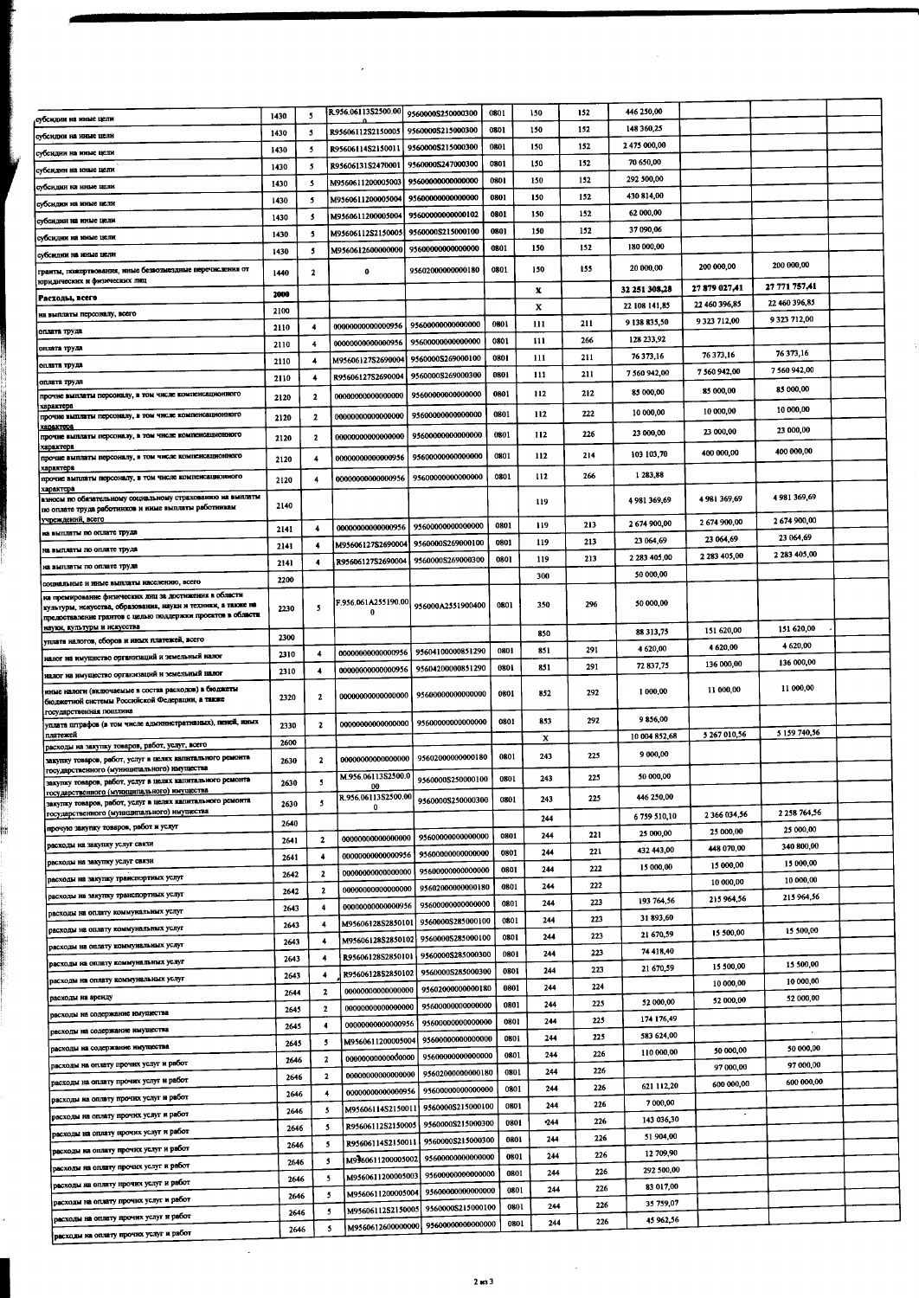|                                                                                                                              |      |                          | R.956.06113S2500.00      |                                       |      |      | 152 | 446 250,00    |                          |               |  |
|------------------------------------------------------------------------------------------------------------------------------|------|--------------------------|--------------------------|---------------------------------------|------|------|-----|---------------|--------------------------|---------------|--|
| убсидин на нные цели                                                                                                         | 1430 | 5                        |                          | 9560000S250000300                     | 0801 | 150  |     |               |                          |               |  |
| убсидин на иные цели                                                                                                         | 1430 | 5                        | R95606112S2150005        | 9560000S215000300                     | 0801 | 150  | 152 | 148 360,25    |                          |               |  |
| убсидии на иные цели                                                                                                         | 1430 | 5                        | R95606114S2150011        | 9560000S215000300                     | 0801 | 150  | 152 | 2475 000,00   |                          |               |  |
| убсидин на иные цели                                                                                                         | 1430 | 5                        | R95606131S2470001        | 9560000S247000300                     | 0801 | 150  | 152 | 70 650,00     |                          |               |  |
|                                                                                                                              | 1430 | 5                        | <b>M9560611200005003</b> | 95600000000000000                     | 0801 | 150  | 152 | 292 500,00    |                          |               |  |
| убсидии на иные цели                                                                                                         |      | 5                        | M9560611200005004        | 95600000000000000                     | 0801 | 150  | 152 | 430 814,00    |                          |               |  |
| зубсидин на иные цели                                                                                                        | 1430 |                          |                          | 95600000000000102                     | 0801 | 150  | 152 | 62 000,00     |                          |               |  |
| субсидин на иные цели                                                                                                        | 1430 | 5                        | M9560611200005004        |                                       |      |      |     |               |                          |               |  |
| субсидин на иные цели                                                                                                        | 1430 | -5                       | M95606112S2150005        | 9560000S215000100                     | 0801 | 150  | 152 | 37 090,06     |                          |               |  |
| субсидим на иные цели                                                                                                        | 1430 | -5                       | M9560612600000000        | 95600000000000000                     | 0801 | 150  | 152 | 180 000,00    |                          |               |  |
| гранты, пожертвования, нные безвозмездные перечисления от                                                                    |      |                          | $\bf{0}$                 | 95602000000000180                     | 0801 | 150  | 155 | 20 000,00     | 200 000,00               | 200 000,00    |  |
| юридических и физических лиц                                                                                                 | 1440 | 2                        |                          |                                       |      |      |     |               |                          | 27 771 757,41 |  |
| Расходы, всего                                                                                                               | 2000 |                          |                          |                                       |      | x    |     | 32 251 308,28 | 27 879 027,41            |               |  |
| на выплаты персоналу, всего                                                                                                  | 2100 |                          |                          |                                       |      | X    |     | 22 108 141,85 | 22 460 396,85            | 22 460 396,85 |  |
|                                                                                                                              | 2110 | 4                        |                          | 00000000000000956 95600000000000000   | 0801 | 111  | 211 | 9 138 835,50  | 9 3 23 7 12,00           | 9 323 712,00  |  |
| оплата труда                                                                                                                 | 2110 | 4                        | 0000000000000956         | 9560000000000000                      | 0801 | 111  | 266 | 128 233,92    |                          |               |  |
| оплата труда                                                                                                                 |      |                          |                          | 9560000S269000100                     | 0801 | 111  | 211 | 76 373,16     | 76 373,16                | 76 373,16     |  |
| оплата труда                                                                                                                 | 2110 | 4                        | M95606127S2690004        |                                       |      |      |     | 7 560 942,00  | 7 560 942,00             | 7 560 942,00  |  |
| оплата труда                                                                                                                 | 2110 | 4                        | R95606127S2690004        | 95600008269000300                     | 0801 | 111  | 211 |               |                          |               |  |
| прочие выплаты персоналу, в том чнеле компенсационного                                                                       | 2120 | $\mathbf{2}$             | 00000000000000000        | 95600000000000000                     | 0801 | 112  | 212 | 85 000,00     | 85 000,00                | 85 000,00     |  |
| характера<br>прочне выплаты персоналу, в том числе компенсационного                                                          |      |                          | 00000000000000000        | 95600000000000000                     | 0801 | 112  | 222 | 10 000,00     | 10 000,00                | 10 000,00     |  |
| характор                                                                                                                     | 2120 | 2                        |                          |                                       |      |      |     |               | 23 000,00                | 23 000,00     |  |
| прочне выплаты персоналу, в том чнеле компенсационного                                                                       | 2120 | 2                        | 0000000000000000         | 95600000000000000                     | 0801 | 112  | 226 | 23 000,00     |                          |               |  |
| характера<br>прочне выплаты персоналу, в том числе компенсационного                                                          | 2120 | 4                        | 0000000000000956         | 95600000000000000                     | 0801 | 112  | 214 | 103 103,70    | 400 000,00               | 400 000,00    |  |
| характери                                                                                                                    |      |                          |                          |                                       |      |      |     | 1 283,88      |                          |               |  |
| прочие выплаты персоналу, в том числе компенсационного<br>характер                                                           | 2120 | 4                        | 0000000000000956         | 95600000000000000                     | 0801 | 112  | 266 |               |                          |               |  |
| взносы по обязательному социальному страхованию на выплаты                                                                   |      |                          |                          |                                       |      | 119  |     | 4 981 369,69  | 4 981 369,69             | 4 981 369,69  |  |
| по оплате труда работников и нные выплаты работникам                                                                         | 2140 |                          |                          |                                       |      |      |     |               |                          |               |  |
| учреждений, всего                                                                                                            | 2141 | 4                        | 0000000000000956         | 95600000000000000                     | 0801 | 119  | 213 | 2674900,00    | 2674900,00               | 2674900,00    |  |
| на выплаты по оплате труда                                                                                                   | 2141 | 4                        | M95606127S2690004        | 9560000S269000100                     | 0801 | 119  | 213 | 23 064,69     | 23 064,69                | 23 064,69     |  |
| на выплаты по оплате труда                                                                                                   |      |                          |                          |                                       | 0801 | 119  | 213 | 2 283 405,00  | 2 283 405,00             | 2 283 405,00  |  |
| на выплаты по оплате труда                                                                                                   | 2141 | $\overline{\phantom{a}}$ | R95606127S2690004        | 9560000S269000300                     |      |      |     | 50 000,00     |                          |               |  |
| социальные и иные выплаты населению, всего                                                                                   | 2200 |                          |                          |                                       |      | 300  |     |               |                          |               |  |
| на премирование физических лиц за достижения в области                                                                       |      |                          |                          | F.956.061A255190.00 956000A2551900400 |      |      | 296 | 50 000,00     |                          |               |  |
| культуры, искусства, образования, науки и техники, а также на<br>предоставление грантов с целью поддержки проектов в области | 2230 | $\cdot$                  | o                        |                                       | 0801 | 350  |     |               |                          |               |  |
| науки, культуры и искусства                                                                                                  |      |                          |                          |                                       |      |      |     | 88 313,75     | 151 620,00               | 151 620,00    |  |
| уплата налогов, сборов и ниых платежей, всего                                                                                | 2300 |                          |                          |                                       |      | 850  |     |               |                          | 4 620,00      |  |
| налог на имущество организаций и земельный налог                                                                             | 2310 | $\overline{\mathbf{4}}$  | 00000000000000956        | 95604100000851290                     | 0801 | 851  | 291 | 4 620,00      | 4 620,00                 |               |  |
|                                                                                                                              | 2310 | 4                        | 00000000000000956        | 95604200000851290                     | 0801 | 851  | 291 | 72 837,75     | 136 000,00               | 136 000,00    |  |
| налог на имущество организаций и земельный налог                                                                             |      |                          |                          |                                       |      |      |     |               |                          | 11 000,00     |  |
| иные налоги (включаемые в состав расходов) в бюджеты<br>бюджетной системы Российской Федерации, а также                      | 2320 | 2                        |                          | 00000000000000000   95600000000000000 | 0801 | 852  | 292 | 1 000,00      | 11 000,00                |               |  |
| государственная пошлина                                                                                                      |      |                          |                          |                                       |      |      |     |               |                          |               |  |
| уплата штрафов (в том числе административных), пеней, нимх                                                                   | 2330 | $\mathbf{z}$             |                          | 00000000000000000 95600000000000000   | 0801 | 853  | 292 | 9856,00       |                          |               |  |
| платежей                                                                                                                     | 2600 |                          |                          |                                       |      | x    |     | 10 004 852,68 | 5 267 010,56             | 5 159 740,56  |  |
| расходы на закупку товаров, работ, услуг, всего<br>закупку товаров, работ, услуг в целях капитального ремонта                |      | $\mathbf{2}$             | 00000000000000000        | 95602000000000180                     | 0801 | 243  | 225 | 9 000,00      |                          |               |  |
| государственного (муниципального) нмущества                                                                                  | 2630 |                          |                          |                                       |      |      |     |               |                          |               |  |
| закупку товаров, работ, услуг в целях капитального ремонта                                                                   | 2630 | 5                        | M.956.06113S2500.0<br>00 | 9560000S250000100                     | 0801 | 243  | 225 | 50 000,00     |                          |               |  |
| государственного (муниципального) имущества<br>закупку товаров, работ, услуг в целях капитального ремонта                    |      | 5                        | R,956.06113S2500.00      | 9560000S250000300                     | 0801 | 243  | 225 | 446 250,00    |                          |               |  |
| государственного (муниципального) имущества                                                                                  | 2630 |                          | 0                        |                                       |      | 244  |     | 6759 510,10   | 2 366 034,56             | 2 258 764,56  |  |
| прочую закупку товаров, работ и услуг                                                                                        | 2640 |                          |                          |                                       |      |      |     |               | 25 000,00                | 25 000,00     |  |
| расходы на закупку услуг связи                                                                                               | 2641 | $\mathbf{2}$             | 0000000000000000         | 95600000000000000                     | 0801 | 244  | 221 | 25 000,00     |                          | 340 800,00    |  |
|                                                                                                                              | 2641 | 4                        | 00000000000000956        | 95600000000000000                     | 0801 | 244  | 221 | 432 443,00    | 448 070,00               |               |  |
| расходы на закупку услуг связи                                                                                               | 2642 | $\overline{\mathbf{z}}$  | 00000000000000000        | 95600000000000000                     | 0801 | 244  | 222 | 15 000,00     | 15 000,00                | 15 000,00     |  |
| расходы на закупку транспортных услуг                                                                                        |      | $\overline{2}$           | 00000000000000000        | 95602000000000180                     | 0801 | 244  | 222 |               | 10 000,00                | 10 000,00     |  |
| расходы на закупку транспортных услуг                                                                                        | 2642 |                          |                          | 95600000000000000                     | 0801 | 244  | 223 | 193 764,56    | 215 964,56               | 215 964,56    |  |
| расходы на оплату коммунальных услуг                                                                                         | 2643 | $\overline{4}$           | 0000000000000956         |                                       |      | 244  | 223 | 31893,60      |                          |               |  |
| расходы на оплату коммунальных услуг                                                                                         | 2643 | $\overline{4}$           | M95606128S2850101        | 9560000\$285000100                    | 0801 |      |     | 21 670,59     | 15 500,00                | 15 500,00     |  |
| расходы на оплату коммунальных услуг                                                                                         | 2643 | $\overline{\phantom{a}}$ |                          | M95606128S2850102 9560000S285000100   | 0801 | 244  | 223 |               |                          |               |  |
|                                                                                                                              | 2643 | 4                        | R95606128S2850101        | 9560000S285000300                     | 0801 | 244  | 223 | 74 418,40     |                          |               |  |
| расходы на оплату коммунальных услуг                                                                                         | 2643 | 4                        | R95606128S2850102        | 9560000S285000300                     | 0801 | 244  | 223 | 21 670 59     | 15 500,00                | 15 500,00     |  |
| расходы на оплату коммунальных услуг                                                                                         |      | $\mathbf{z}$             | 00000000000000000        | 95602000000000180                     | 0801 | 244  | 224 |               | 10 000,00                | 10 000,00     |  |
| расходы на аренду                                                                                                            | 2644 |                          |                          | 95600000000000000                     | 0801 | 244  | 225 | 52 000,00     | 52 000,00                | 52 000,00     |  |
| расходы на содержание имущества                                                                                              | 2645 | $\mathbf{2}$             | 00000000000000000        |                                       |      | 244  | 225 | 174 176,49    |                          |               |  |
| расходы на содержание имущества                                                                                              | 2645 | 4                        | 00000000000000956        | 9560000000000000                      | 0801 |      |     | 583 624,00    |                          | $\sim$        |  |
| расходы на содержание имущества                                                                                              | 2645 | 5                        | M9560611200005004        | 9560000000000000                      | 0801 | 244  | 225 |               | 50 000,00                | 50 000,00     |  |
| расходы на оплату прочих услуг и работ                                                                                       | 2646 | $\mathbf{2}$             | 00000000000000000        | 95600000000000000                     | 0801 | 244  | 226 | 110 000,00    |                          |               |  |
|                                                                                                                              | 2646 | $\overline{\mathbf{2}}$  | 0000000000000000         | 95602000000000180                     | 0801 | 244  | 226 |               | 97 000,00                | 97 000,00     |  |
| расходы на оплату прочих услуг и работ                                                                                       |      | 4                        | 0000000000000956         | 95600000000000000                     | 0801 | 244  | 226 | 621 112,20    | 600 000,00               | 600 000,00    |  |
| расходы на оплату прочих услуг и работ                                                                                       | 2646 |                          |                          | 9560000S215000100                     | 0801 | 244  | 226 | 7000,00       |                          |               |  |
| расходы на оплату прочих услуг и работ                                                                                       | 2646 | $\overline{\mathbf{5}}$  | M95606114S2150011        |                                       |      |      | 226 | 143 036,30    | $\overline{\phantom{a}}$ |               |  |
| расходы на оплату прочих услуг и работ                                                                                       | 2646 |                          | R95606112S2150005<br>5   | 9560000S215000300                     | 0801 | -244 |     |               |                          |               |  |
|                                                                                                                              | 2646 |                          | R95606114S2150011<br>5   | 9560000S215000300                     | 0801 | 244  | 226 | 51 904,00     |                          |               |  |
| расходы на оплату прочих услуг и работ                                                                                       | 2646 |                          | M9360611200005002<br>5   | 9560000000000000                      | 0801 | 244  | 226 | 12 709,90     |                          |               |  |
| расходы на оплату прочих услуг и работ                                                                                       |      |                          | M9560611200005003<br>5   | 95600000000000000                     | 0801 | 244  | 226 | 292 500,00    |                          |               |  |
| расходы на оплату прочих услуг и работ                                                                                       | 2646 |                          |                          | 95600000000000000                     | 0801 | 244  | 226 | 83 017,00     |                          |               |  |
| расходы на оплату прочих услуг и работ                                                                                       | 2646 |                          | M9560611200005004<br>5   |                                       |      |      | 226 | 35 759,07     |                          |               |  |
| расходы на оплату прочих услуг и работ                                                                                       | 2646 |                          | M95606112S2150005<br>5   | 9560000S215000100                     | 0801 | 244  |     |               |                          |               |  |
|                                                                                                                              | 2646 |                          | 5                        | M9560612600000000 956000000000000000  | 0801 | 244  | 226 | 45 962,56     |                          |               |  |
| расходы на оплату прочих услуг и работ                                                                                       |      |                          |                          |                                       |      |      |     |               |                          |               |  |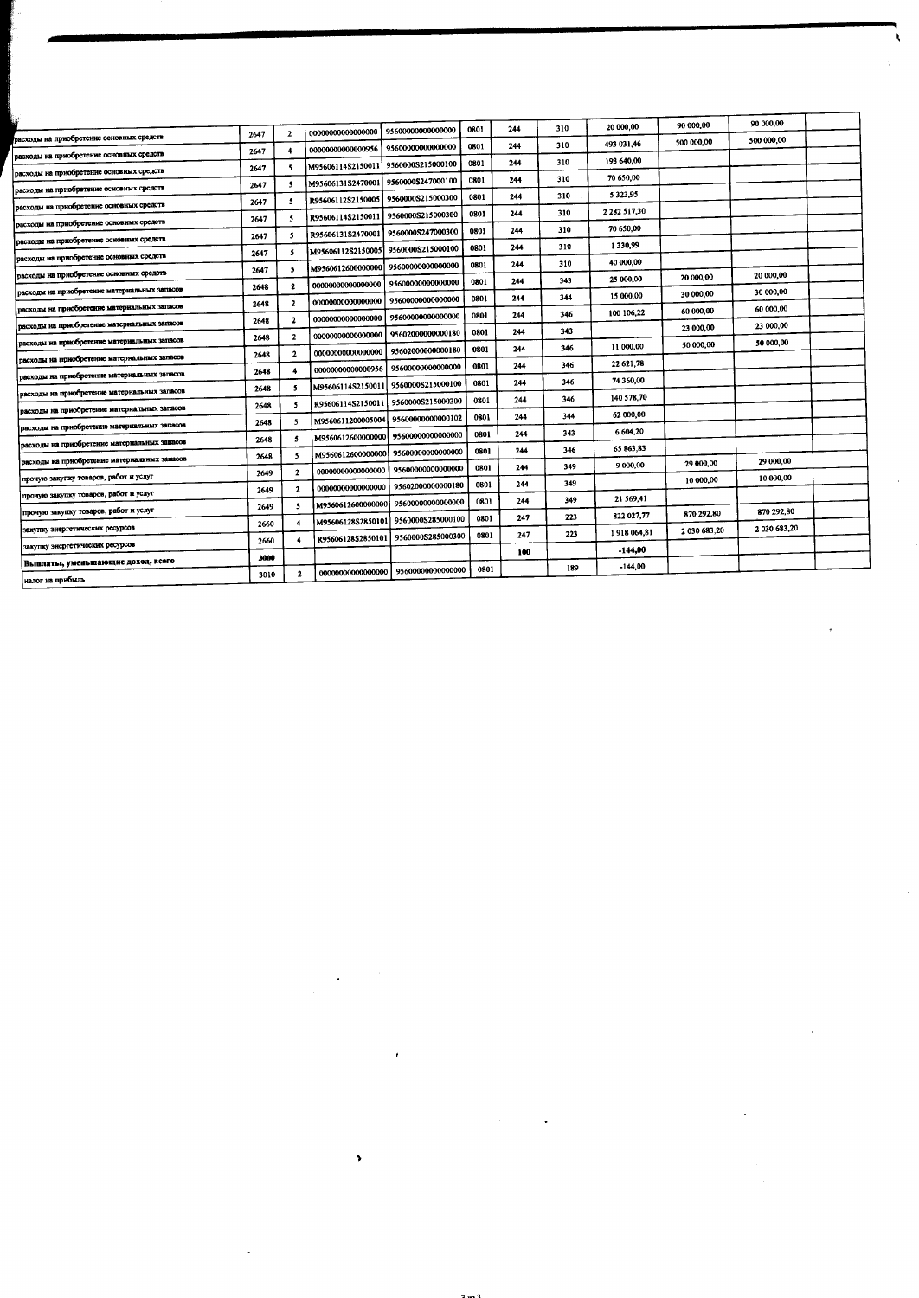|                                              |      |                          |                   |                                     |      |     |     | 20 000,00         | 90 000,00    | 90 000,00    |  |
|----------------------------------------------|------|--------------------------|-------------------|-------------------------------------|------|-----|-----|-------------------|--------------|--------------|--|
| расходы на приобретение основных средств     | 2647 | $\mathbf{2}$             | 00000000000000000 | 95600000000000000                   | 0801 | 244 | 310 |                   | 500 000,00   | 500 000,00   |  |
| расходы на приобретение основных средств     | 2647 |                          | 0000000000000956  | 95600000000000000                   | 0801 | 244 | 310 | 493 031,46        |              |              |  |
| расходы на приобретение основных средств     | 2647 | 5.                       | M95606114S2150011 | 9560000S215000100                   | 0801 | 244 | 310 | 193 640,00        |              |              |  |
| расходы на прнобретенне основных средств     | 2647 | 5                        | M95606131S2470001 | 9560000S247000100                   | 0301 | 244 | 310 | 70 650,00         |              |              |  |
| расходы на приобретение основных средств     | 2647 | 5                        | R95606112S2150005 | 9560000S215000300                   | 0801 | 244 | 310 | 5323.95           |              |              |  |
| расходы на приобретение основных средств     | 2647 | $\mathbf{s}$             | R95606114S2150011 | 9560000S215000300                   | 0801 | 244 | 310 | 2 2 8 2 5 1 7 3 0 |              |              |  |
| расходы на приобретение основных средств     | 2647 | 5                        | R95606131S2470001 | 9560000S247000300                   | 0801 | 244 | 310 | 70 650,00         |              |              |  |
| расходы на приобретение основных средств     | 2647 | 5                        | M95606112S2150005 | 9560000S215000100                   | 0801 | 244 | 310 | 1330.99           |              |              |  |
| расходы на приобретение основных средств     | 2647 | 5                        | M9560612600000000 | 95600000000000000                   | 0801 | 244 | 310 | 40 000,00         | 20 000,00    | 20 000,00    |  |
| расходы на приобретение материальных запасов | 2648 | $\mathbf{2}$             | 00000000000000000 | 95600000000000000                   | 0801 | 244 | 343 | 25 000,00         | 30 000,00    | 30 000,00    |  |
| расходы на приобретение материальных запасов | 2648 | $\mathbf{2}$             | 00000000000000000 | 95600000000000000                   | 0801 | 244 | 344 | 15 000,00         | 60 000,00    | 60 000,00    |  |
| расходы на приобретение материальных запасов | 2648 | $\mathbf{2}$             | 00000000000000000 | 95600000000000000                   | 0801 | 244 | 346 | 100 106,22        | 23 000,00    | 23 000,00    |  |
| расходы на приобретение материальных запасов | 2648 | $\mathbf{2}$             | 00000000000000000 | 95602000000000180                   | 0801 | 244 | 343 |                   |              | 50 000,00    |  |
| расходы на приобретение материальных запасов | 2648 | $\overline{2}$           | 00000000000000000 | 95602000000000180                   | 0801 | 244 | 346 | 11 000,00         | 50 000,00    |              |  |
| расходы на приобретение материальных запасов | 2648 | $\overline{\phantom{a}}$ | 0000000000000956  | 95600000000000000                   | 0801 | 244 | 346 | 22 621,78         |              |              |  |
| расходы на приобретение материальных запасов | 2648 | 5                        | M95606114S2150011 | 9560000S215000100                   | 0801 | 244 | 346 | 74 360,00         |              |              |  |
| расходы на приобретение материальных запасов | 2648 | 5                        | R95606114S2150011 | 9560000S215000300                   | 0801 | 244 | 346 | 140 578,70        |              |              |  |
| расходы на прнобретение материальных запасов | 2648 | 5                        | M9560611200005004 | 95600000000000102                   | 0801 | 244 | 344 | 62 000,00         |              |              |  |
| расходы на приобретение материальных запасов | 2648 | -5                       |                   | M9560612600000000 95600000000000000 | 0801 | 244 | 343 | 6 604,20          |              |              |  |
| расходы на приобретение материальных запасов | 2648 | 5                        | M9560612600000000 | 95600000000000000                   | 0801 | 244 | 346 | 65 863,83         |              | 29 000,00    |  |
| прочую закупку товаров, работ и услуг        | 2649 | $\mathbf{r}$             |                   | 00000000000000000 95600000000000000 | 0801 | 244 | 349 | 9 000,00          | 29 000,00    | 10 000,00    |  |
| прочую закупку товаров, работ и услуг        | 2649 | $\overline{2}$           | 00000000000000000 | 95602000000000180                   | 0801 | 244 | 349 |                   | 10 000,00    |              |  |
| прочую закупку товаров, работ и услуг        | 2649 |                          | M9560612600000000 | 95600000000000000                   | 0801 | 244 | 349 | 21 569,41         |              | 870 292.80   |  |
|                                              | 2660 |                          |                   | M95606128S2850101 9560000S285000100 | 0801 | 247 | 223 | 822 027.77        | 870 292,80   | 2 030 683,20 |  |
| закупку энергетических ресурсов              | 2660 |                          | R95606128S2850101 | 9560000S285000300                   | 0801 | 247 | 223 | 1918064,81        | 2 030 683,20 |              |  |
| закупку энергетических ресурсов              | 3000 |                          |                   |                                     |      | 100 |     | $-144,00$         |              |              |  |
| Выплаты, уменьшающие доход, всего            | 3010 | $\mathbf{2}$             | 0000000000000000  | 95600000000000000                   | 0801 |     | 189 | -144,00           |              |              |  |
| налог на прибыль                             |      |                          |                   |                                     |      |     |     |                   |              |              |  |

 $\overline{\mathcal{C}}$ 

 $\frac{1}{2}$ 

 $\mathcal{A}^{\mathcal{A}}$ 

 $\label{eq:2.1} \frac{1}{\sqrt{2}}\int_{\mathbb{R}^3}\frac{1}{\sqrt{2}}\left(\frac{1}{\sqrt{2}}\int_{\mathbb{R}^3}\frac{1}{\sqrt{2}}\left(\frac{1}{\sqrt{2}}\int_{\mathbb{R}^3}\frac{1}{\sqrt{2}}\left(\frac{1}{\sqrt{2}}\int_{\mathbb{R}^3}\frac{1}{\sqrt{2}}\right)\frac{1}{\sqrt{2}}\right)\frac{1}{\sqrt{2}}\right)=\frac{1}{2}\int_{\mathbb{R}^3}\frac{1}{\sqrt{2}}\int_{\mathbb{R}^3}\frac{1}{\sqrt{2}}\frac{1}{\$ 

 $\label{eq:2} \frac{1}{\sqrt{2}}\left(\frac{1}{\sqrt{2}}\right)^2\left(\frac{1}{\sqrt{2}}\right)^2\left(\frac{1}{\sqrt{2}}\right)^2.$ 

 $\mathcal{O}(\mathcal{O}(\log n))$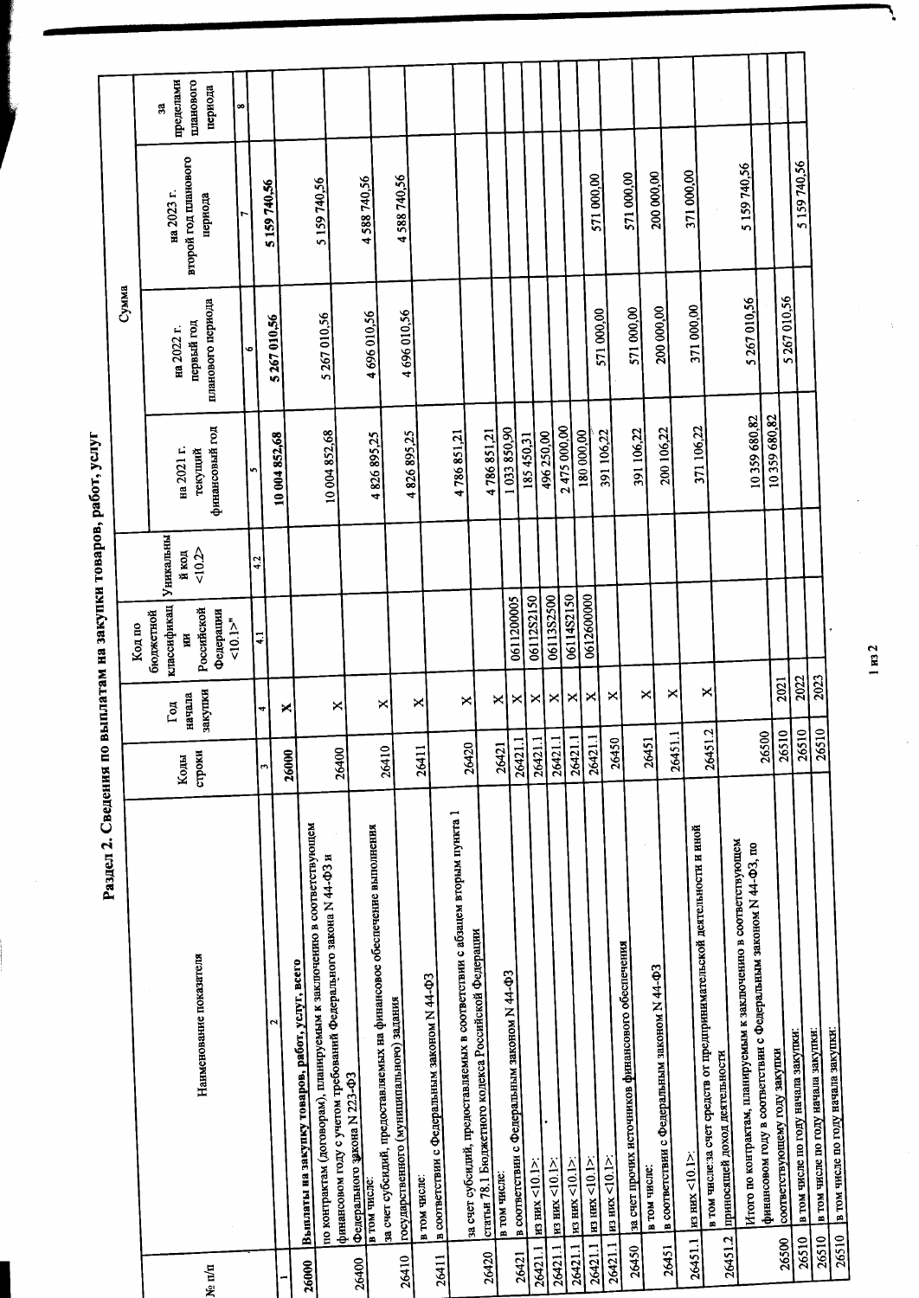Раздел 2. Сведения по выплатам на закупки товаров, работ, услуг

|         |                                                                                                                                            |                       |                   |                                 |                    |                           | Сумма                           |                                 |                      |
|---------|--------------------------------------------------------------------------------------------------------------------------------------------|-----------------------|-------------------|---------------------------------|--------------------|---------------------------|---------------------------------|---------------------------------|----------------------|
|         |                                                                                                                                            |                       |                   | Код по                          |                    |                           |                                 |                                 |                      |
|         |                                                                                                                                            | Коды                  | $\Gamma$ од       | классификац<br>бюджетной<br>Ħ   | Уникальны<br>й код | на 2021 г.                | на 2022 г.                      | на 2023 г.                      | пределами<br>g       |
| Ne n/n  | Наименование показателя                                                                                                                    | строки                | закупки<br>начала | Российской<br>Федерации<br>10.1 | 10.2               | финансовый год<br>текуший | планового периода<br>первый год | второй год планового<br>периода | планового<br>периода |
|         |                                                                                                                                            |                       |                   |                                 |                    | S                         | $\bullet$                       |                                 | œ                    |
|         |                                                                                                                                            | m                     | ₹                 | $\ddot{=}$                      | 4.2                |                           |                                 | 5 159 740,56                    |                      |
|         | Z                                                                                                                                          | 26000                 | ×                 |                                 |                    | 10 004 852,68             | 5 267 010,56                    |                                 |                      |
| 26000   | Выплаты на закупку товаров, работ, услуг, всего                                                                                            |                       |                   |                                 |                    |                           |                                 |                                 |                      |
|         | по контрактам (договорам), планируемым к заключению в соответствующем<br>финансовом году с учетом требований Федерального закона N 44-ФЗ и | 26400                 | ×                 |                                 |                    | 10 004 852,68             | 5 267 010,56                    | 5 159 740,56                    |                      |
| 26400   | Федерального закона N 223-ФЗ                                                                                                               |                       |                   |                                 |                    |                           |                                 | 4588740,56                      |                      |
|         | за счет субсидий, предоставляемых на финансовое обеспечение выполнения<br>в том числе:                                                     | 26410                 | ×                 |                                 |                    | 4826895,25                | 4 696 010,56                    |                                 |                      |
| 26410   | государственного (муниципального) задания                                                                                                  |                       |                   |                                 |                    | 4826895,25                | 4 696 010.56                    | 4588740,56                      |                      |
| 26411   | в соответствии с Федеральным законом N 44-ФЗ<br>в том числе:                                                                               | 2641                  | ×                 |                                 |                    |                           |                                 |                                 |                      |
|         | за счет субсидий, предоставляемых в соответствии с абзацем вторым пункта 1                                                                 | 26420                 | ×                 |                                 |                    | 4786851,21                |                                 |                                 |                      |
| 26420   | статьи 78.1 Бюджетного кодекса Российской Федерации                                                                                        |                       |                   |                                 |                    | 4786851,21                |                                 |                                 |                      |
|         | в том числе:                                                                                                                               | 26421                 | ×                 |                                 |                    | 1033850,90                |                                 |                                 |                      |
| 26421   | в соответствии с Федеральным законом N 44-ФЗ                                                                                               | न<br>26421            | ×                 | 0611200005                      |                    | 185 450,31                |                                 |                                 |                      |
| 26421.1 | $_{H3-HHX}$ <10.1>                                                                                                                         | −.<br>26421           | ×                 | 06112S2150                      |                    | 496250,00                 |                                 |                                 |                      |
| 26421.1 | $\frac{\text{m}}{\text{m} \cdot \text{m}}$ (10.1>:                                                                                         | Ξ<br>26421            | ×                 | 06113S2500                      |                    |                           |                                 |                                 |                      |
| 26421.1 | $\frac{\text{m}}{\text{m}}$ m $\text{m}$ $\text{m}$ $\text{m}$                                                                             | $\mathbf{I}$<br>26421 | ×                 | 06114S2150                      |                    | 2475 000,00               |                                 |                                 |                      |
| 26421.1 | $\frac{1}{2}$ HM $\frac{1}{2}$                                                                                                             | $\Xi$<br>2642         | ×                 | 0612600000                      |                    | 180 000,00                |                                 | 571 000,00                      |                      |
| 26421.1 | $\frac{\text{H3 HMX}}{20.1}$                                                                                                               | 50<br>264             | ×                 |                                 |                    | 391 106,22                | 571 000,00                      |                                 |                      |
| 26450   | за счет прочих источников финансового обеспечения                                                                                          |                       |                   |                                 |                    | 391 106,22                | 571 000,00                      | 571 000,00                      |                      |
|         | в соответствии с Федеральным законом N 44-ФЗ<br>в том числе:                                                                               | 26451                 | ×                 |                                 |                    | 200106,22                 | 200 000,00                      | 200 000,00                      |                      |
| 26451   |                                                                                                                                            | 26451.1               | ×                 |                                 |                    |                           |                                 |                                 |                      |
| 26451.1 | в том числе:за счет средств от предпринимательской деятельности и иной<br>$\frac{\text{m}}{\text{m}}$ mx <10.1>                            | 26451.2               | ×                 |                                 |                    | 371 106,22                | 371 000,00                      | 371 000,00                      |                      |
| 26451.2 | приносящей доход деятельности                                                                                                              |                       |                   |                                 |                    |                           |                                 |                                 |                      |
|         | Итого по контрактам, планируемым к захлючению в соответствующем                                                                            |                       |                   |                                 |                    | 10359680,82               | 5 267 010,56                    | 5 159 740,56                    |                      |
|         | финансовом году в соответствии с Федеральным законом N 44-ФЗ, по                                                                           | 26500                 |                   |                                 |                    | 10359680,82               |                                 |                                 |                      |
| 26500   | соответствующему году закупки                                                                                                              | 26510                 | 2021              |                                 |                    |                           | 5 267 010,56                    |                                 |                      |
| 26510   | в том числе по году начала закупки:                                                                                                        | 26510                 | 2022              |                                 |                    |                           |                                 | 5 159 740,56                    |                      |
| 26510   | в том числе по году начала закупки:                                                                                                        | 26510                 | 2023              |                                 |                    |                           |                                 |                                 |                      |
| 26510   | в том числе по году начала закупки.                                                                                                        |                       |                   |                                 |                    |                           |                                 |                                 |                      |

 $1 \text{ m}$  2

 $\frac{1}{2}$ 

Ņ

ś,